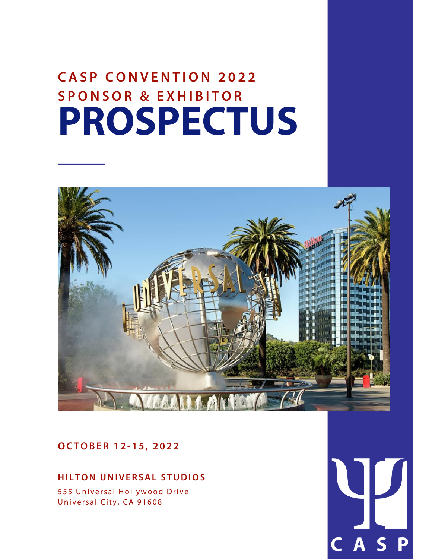### **PROSPECTUS C A S P C O N V E N T I O N 2 0 2 2 S P O N S O R & E X H I B I T O R**



### **OCTOBER 1 2 - 1 5 , 2 0 2 2**

#### **HI L TON UNIVERSAL S TUDIOS**

555 Universal Hollywood Drive Universal City, CA 91608

D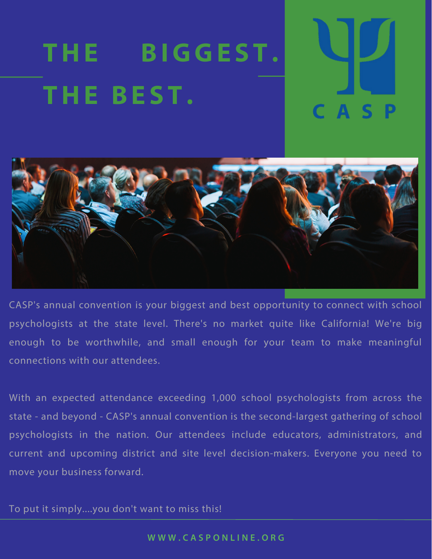# **THE BIGGE S T . THE BE S T .**



CASP's annual convention is your biggest and best opportunity to connect with school psychologists at the state level. There's no market quite like California! We're big enough to be worthwhile, and small enough for your team to make meaningful connections with our attendees.

With an expected attendance exceeding 1,000 school psychologists from across the state - and beyond - CASP's annual convention is the second-largest gathering of school psychologists in the nation. Our attendees include educators, administrators, and current and upcoming district and site level decision-makers. Everyone you need to move your business forward.

To put it simply....you don't want to miss this!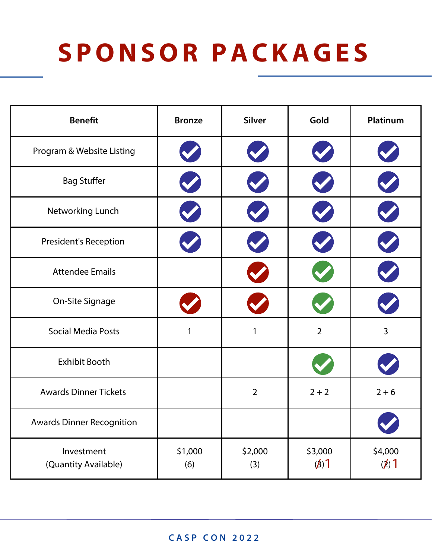# **S P O NS O R PACKAGE S**

| <b>Benefit</b>                     | <b>Bronze</b>  | <b>Silver</b>  | Gold                 | Platinum        |
|------------------------------------|----------------|----------------|----------------------|-----------------|
| Program & Website Listing          |                |                |                      |                 |
| <b>Bag Stuffer</b>                 |                |                |                      |                 |
| Networking Lunch                   |                |                |                      |                 |
| <b>President's Reception</b>       |                |                |                      |                 |
| <b>Attendee Emails</b>             |                |                |                      |                 |
| On-Site Signage                    |                |                |                      |                 |
| <b>Social Media Posts</b>          | 1              | 1              | $\overline{2}$       | 3               |
| Exhibit Booth                      |                |                |                      |                 |
| <b>Awards Dinner Tickets</b>       |                | $\overline{2}$ | $2 + 2$              | $2 + 6$         |
| <b>Awards Dinner Recognition</b>   |                |                |                      | V               |
| Investment<br>(Quantity Available) | \$1,000<br>(6) | \$2,000<br>(3) | \$3,000<br>$(\beta)$ | \$4,000<br>(2)1 |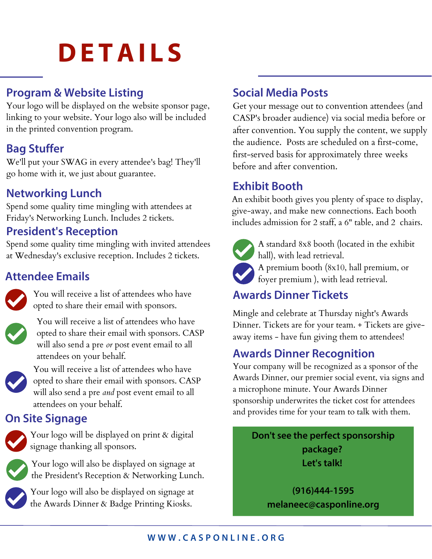# **DE TAI L S**

### **Program & Website Listing**

Your logo will be displayed on the website sponsor page, linking to your website. Your logo also will be included in the printed convention program.

### **Bag Stuffer**

We'll put your SWAG in every attendee's bag! They'll go home with it, we just about guarantee.

### **Networking Lunch**

Spend some quality time mingling with attendees at Friday's Networking Lunch. Includes 2 tickets.

### **President's Reception**

Spend some quality time mingling with invited attendees at Wednesday's exclusive reception. Includes 2 tickets.

### **Attendee Emails**



You will receive a list of attendees who have opted to share their email with sponsors.



You will receive a list of attendees who have opted to share their email with sponsors. CASP will also send a pre *or* post event email to all attendees on your behalf.



You will receive a list of attendees who have opted to share their email with sponsors. CASP will also send a pre *and* post event email to all attendees on your behalf.

### **On Site Signage**



Your logo will be displayed on print & digital signage thanking all sponsors.



Your logo will also be displayed on signage at the President's Reception & Networking Lunch.

Your logo will also be displayed on signage at the Awards Dinner & Badge Printing Kiosks.

### **Social Media Posts**

Get your message out to convention attendees (and CASP's broader audience) via social media before or after convention. You supply the content, we supply the audience. Posts are scheduled on a first-come, first-served basis for approximately three weeks before and after convention.

### **Exhibit Booth**

An exhibit booth gives you plenty of space to display, give-away, and make new connections. Each booth includes admission for 2 staff, a 6" table, and 2 chairs.



A standard 8x8 booth (located in the exhibit hall), with lead retrieval.

A premium booth (8x10, hall premium, or foyer premium ), with lead retrieval.

### **Awards Dinner Tickets**

Mingle and celebrate at Thursday night's Awards Dinner. Tickets are for your team. + Tickets are giveaway items - have fun giving them to attendees!

### **Awards Dinner Recognition**

Your company will be recognized as a sponsor of the Awards Dinner, our premier social event, via signs and a microphone minute. Your Awards Dinner sponsorship underwrites the ticket cost for attendees and provides time for your team to talk with them.

**Don't see the perfect sponsorship package? Let's talk!**

> **(916)444-1595 melaneec@casponline.org**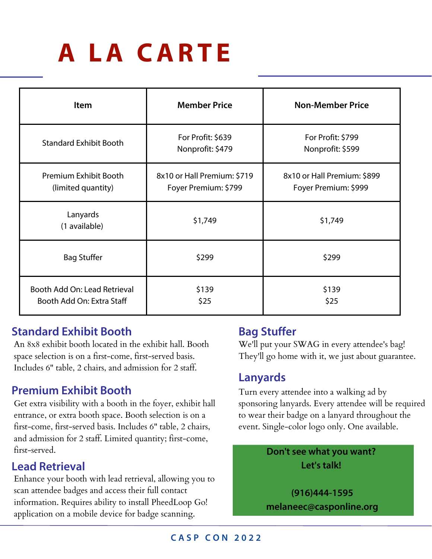# **A LA CAR T E**

| <b>Item</b>                                               | <b>Member Price</b>                                 | <b>Non-Member Price</b>                             |  |
|-----------------------------------------------------------|-----------------------------------------------------|-----------------------------------------------------|--|
| <b>Standard Exhibit Booth</b>                             | For Profit: \$639<br>Nonprofit: \$479               | For Profit: \$799<br>Nonprofit: \$599               |  |
| Premium Exhibit Booth<br>(limited quantity)               | 8x10 or Hall Premium: \$719<br>Foyer Premium: \$799 | 8x10 or Hall Premium: \$899<br>Foyer Premium: \$999 |  |
| Lanyards<br>(1 available)                                 | \$1,749                                             | \$1,749                                             |  |
| <b>Bag Stuffer</b>                                        | \$299                                               | \$299                                               |  |
| Booth Add On: Lead Retrieval<br>Booth Add On: Extra Staff | \$139<br>\$25                                       | \$139<br>\$25                                       |  |

### **Standard Exhibit Booth**

An 8x8 exhibit booth located in the exhibit hall. Booth space selection is on a first-come, first-served basis. Includes 6" table, 2 chairs, and admission for 2 staff.

### **Premium Exhibit Booth**

Get extra visibility with a booth in the foyer, exhibit hall entrance, or extra booth space. Booth selection is on a first-come, first-served basis. Includes 6" table, 2 chairs, and admission for 2 staff. Limited quantity; first-come, first-served.

### **Lead Retrieval**

Enhance your booth with lead retrieval, allowing you to scan attendee badges and access their full contact information. Requires ability to install PheedLoop Go! application on a mobile device for badge scanning.

### **Bag Stuffer**

We'll put your SWAG in every attendee's bag! They'll go home with it, we just about guarantee.

### **Lanyards**

Turn every attendee into a walking ad by sponsoring lanyards. Every attendee will be required to wear their badge on a lanyard throughout the event. Single-color logo only. One available.

> **Don't see what you want? Let's talk!**

**(916)444-1595 melaneec@casponline.org**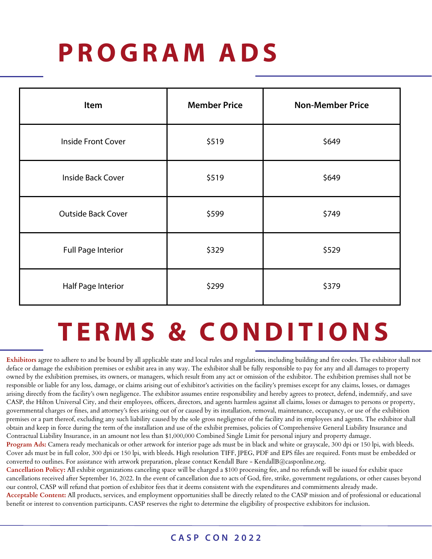# **P R O GRA M ADS**

| Item                      | <b>Member Price</b> | <b>Non-Member Price</b> |
|---------------------------|---------------------|-------------------------|
| <b>Inside Front Cover</b> | \$519               | \$649                   |
| <b>Inside Back Cover</b>  | \$519               | \$649                   |
| <b>Outside Back Cover</b> | \$599               | \$749                   |
| <b>Full Page Interior</b> | \$329               | \$529                   |
| Half Page Interior        | \$299               | \$379                   |

### **T E R M S & C O NDI T I O NS**

**Exhibitors** agree to adhere to and be bound by all applicable state and local rules and regulations, including building and fire codes. The exhibitor shall not deface or damage the exhibition premises or exhibit area in any way. The exhibitor shall be fully responsible to pay for any and all damages to property owned by the exhibition premises, its owners, or managers, which result from any act or omission of the exhibitor. The exhibition premises shall not be responsible or liable for any loss, damage, or claims arising out of exhibitor's activities on the facility's premises except for any claims, losses, or damages arising directly from the facility's own negligence. The exhibitor assumes entire responsibility and hereby agrees to protect, defend, indemnify, and save CASP, the Hilton Universal City, and their employees, officers, directors, and agents harmless against all claims, losses or damages to persons or property, governmental charges or fines, and attorney's fees arising out of or caused by its installation, removal, maintenance, occupancy, or use of the exhibition premises or a part thereof, excluding any such liability caused by the sole gross negligence of the facility and its employees and agents. The exhibitor shall obtain and keep in force during the term of the installation and use of the exhibit premises, policies of Comprehensive General Liability Insurance and Contractual Liability Insurance, in an amount not less than \$1,000,000 Combined Single Limit for personal injury and property damage.

**Program Ads:** Camera ready mechanicals or other artwork for interior page ads must be in black and white or grayscale, 300 dpi or 150 lpi, with bleeds. Cover ads must be in full color, 300 dpi or 150 lpi, with bleeds. High resolution TIFF, JPEG, PDF and EPS files are required. Fonts must be embedded or converted to outlines. For assistance with artwork preparation, please contact Kendall Bare - KendallB@casponline.org.

**Cancellation Policy:** All exhibit organizations canceling space will be charged a \$100 processing fee, and no refunds will be issued for exhibit space cancellations received after September 16, 2022. In the event of cancellation due to acts of God, fire, strike, government regulations, or other causes beyond our control, CASP will refund that portion of exhibitor fees that it deems consistent with the expenditures and commitments already made.

**Acceptable Content:** All products, services, and employment opportunities shall be directly related to the CASP mission and of professional or educational benefit or interest to convention participants. CASP reserves the right to determine the eligibility of prospective exhibitors for inclusion.

### **C A S P C O N 2 0 2 2**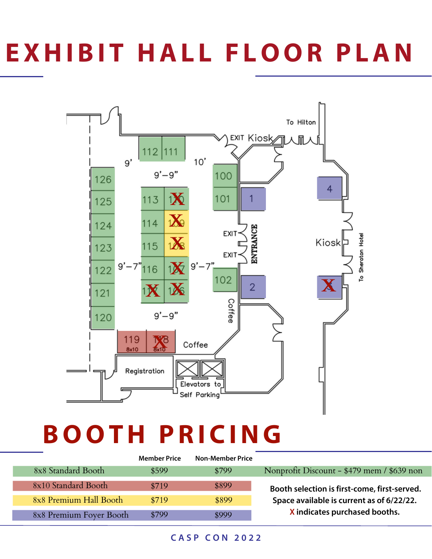# **EXHIBI T HAL L F L O O R P LAN**



## **B O O TH P R I C ING**

|                         | <b>Member Price</b> | <b>Non-Member Price</b> |                                              |
|-------------------------|---------------------|-------------------------|----------------------------------------------|
| 8x8 Standard Booth      | \$599               | \$799                   | Nonprofit Discount - \$479 mem / \$639 non   |
| 8x10 Standard Booth     | \$719               | \$899                   | Booth selection is first-come, first-served. |
| 8x8 Premium Hall Booth  | \$719               | \$899                   | Space available is current as of 6/22/22.    |
| 8x8 Premium Foyer Booth | \$799               | \$999                   | X indicates purchased booths.                |

#### **C A S P C O N 2 0 2 2**